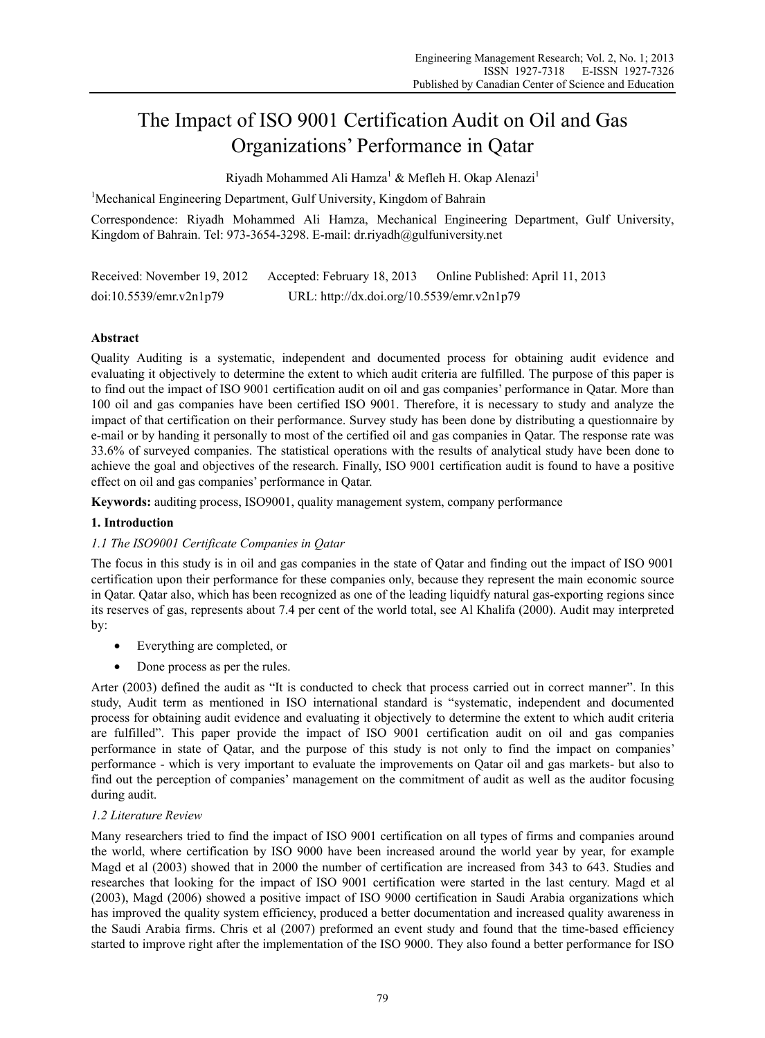# The Impact of ISO 9001 Certification Audit on Oil and Gas Organizations' Performance in Qatar

Riyadh Mohammed Ali Hamza<sup>1</sup> & Mefleh H. Okap Alenazi<sup>1</sup>

<sup>1</sup>Mechanical Engineering Department, Gulf University, Kingdom of Bahrain

Correspondence: Riyadh Mohammed Ali Hamza, Mechanical Engineering Department, Gulf University, Kingdom of Bahrain. Tel: 973-3654-3298. E-mail: dr.riyadh@gulfuniversity.net

Received: November 19, 2012 Accepted: February 18, 2013 Online Published: April 11, 2013 doi:10.5539/emr.v2n1p79 URL: http://dx.doi.org/10.5539/emr.v2n1p79

# **Abstract**

Quality Auditing is a systematic, independent and documented process for obtaining audit evidence and evaluating it objectively to determine the extent to which audit criteria are fulfilled. The purpose of this paper is to find out the impact of ISO 9001 certification audit on oil and gas companies' performance in Qatar. More than 100 oil and gas companies have been certified ISO 9001. Therefore, it is necessary to study and analyze the impact of that certification on their performance. Survey study has been done by distributing a questionnaire by e-mail or by handing it personally to most of the certified oil and gas companies in Qatar. The response rate was 33.6% of surveyed companies. The statistical operations with the results of analytical study have been done to achieve the goal and objectives of the research. Finally, ISO 9001 certification audit is found to have a positive effect on oil and gas companies' performance in Qatar.

**Keywords:** auditing process, ISO9001, quality management system, company performance

# **1. Introduction**

# *1.1 The ISO9001 Certificate Companies in Qatar*

The focus in this study is in oil and gas companies in the state of Qatar and finding out the impact of ISO 9001 certification upon their performance for these companies only, because they represent the main economic source in Qatar. Qatar also, which has been recognized as one of the leading liquidfy natural gas-exporting regions since its reserves of gas, represents about 7.4 per cent of the world total, see Al Khalifa (2000). Audit may interpreted by:

- Everything are completed, or
- Done process as per the rules.

Arter (2003) defined the audit as "It is conducted to check that process carried out in correct manner". In this study, Audit term as mentioned in ISO international standard is "systematic, independent and documented process for obtaining audit evidence and evaluating it objectively to determine the extent to which audit criteria are fulfilled". This paper provide the impact of ISO 9001 certification audit on oil and gas companies performance in state of Qatar, and the purpose of this study is not only to find the impact on companies' performance - which is very important to evaluate the improvements on Qatar oil and gas markets- but also to find out the perception of companies' management on the commitment of audit as well as the auditor focusing during audit.

# *1.2 Literature Review*

Many researchers tried to find the impact of ISO 9001 certification on all types of firms and companies around the world, where certification by ISO 9000 have been increased around the world year by year, for example Magd et al (2003) showed that in 2000 the number of certification are increased from 343 to 643. Studies and researches that looking for the impact of ISO 9001 certification were started in the last century. Magd et al (2003), Magd (2006) showed a positive impact of ISO 9000 certification in Saudi Arabia organizations which has improved the quality system efficiency, produced a better documentation and increased quality awareness in the Saudi Arabia firms. Chris et al (2007) preformed an event study and found that the time-based efficiency started to improve right after the implementation of the ISO 9000. They also found a better performance for ISO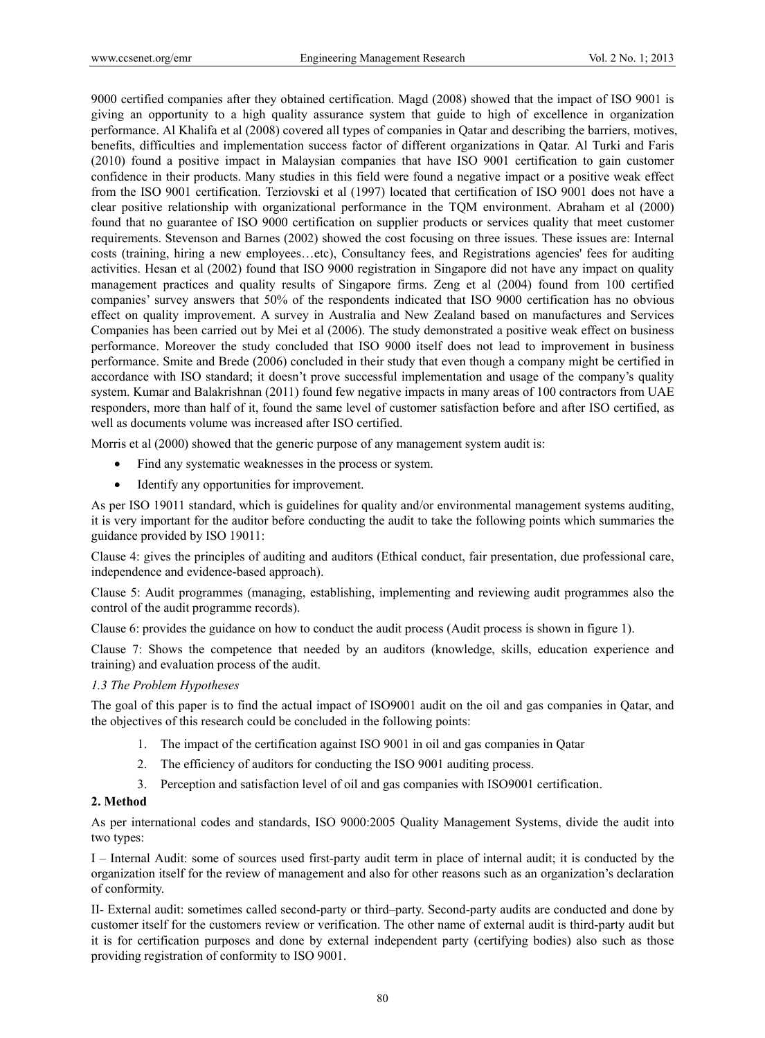9000 certified companies after they obtained certification. Magd (2008) showed that the impact of ISO 9001 is giving an opportunity to a high quality assurance system that guide to high of excellence in organization performance. Al Khalifa et al (2008) covered all types of companies in Qatar and describing the barriers, motives, benefits, difficulties and implementation success factor of different organizations in Qatar. Al Turki and Faris (2010) found a positive impact in Malaysian companies that have ISO 9001 certification to gain customer confidence in their products. Many studies in this field were found a negative impact or a positive weak effect from the ISO 9001 certification. Terziovski et al (1997) located that certification of ISO 9001 does not have a clear positive relationship with organizational performance in the TQM environment. Abraham et al (2000) found that no guarantee of ISO 9000 certification on supplier products or services quality that meet customer requirements. Stevenson and Barnes (2002) showed the cost focusing on three issues. These issues are: Internal costs (training, hiring a new employees…etc), Consultancy fees, and Registrations agencies' fees for auditing activities. Hesan et al (2002) found that ISO 9000 registration in Singapore did not have any impact on quality management practices and quality results of Singapore firms. Zeng et al (2004) found from 100 certified companies' survey answers that 50% of the respondents indicated that ISO 9000 certification has no obvious effect on quality improvement. A survey in Australia and New Zealand based on manufactures and Services Companies has been carried out by Mei et al (2006). The study demonstrated a positive weak effect on business performance. Moreover the study concluded that ISO 9000 itself does not lead to improvement in business performance. Smite and Brede (2006) concluded in their study that even though a company might be certified in accordance with ISO standard; it doesn't prove successful implementation and usage of the company's quality system. Kumar and Balakrishnan (2011) found few negative impacts in many areas of 100 contractors from UAE responders, more than half of it, found the same level of customer satisfaction before and after ISO certified, as well as documents volume was increased after ISO certified.

Morris et al  $(2000)$  showed that the generic purpose of any management system audit is:

- Find any systematic weaknesses in the process or system.
- Identify any opportunities for improvement.

As per ISO 19011 standard, which is guidelines for quality and/or environmental management systems auditing, it is very important for the auditor before conducting the audit to take the following points which summaries the guidance provided by ISO 19011:

Clause 4: gives the principles of auditing and auditors (Ethical conduct, fair presentation, due professional care, independence and evidence-based approach).

Clause 5: Audit programmes (managing, establishing, implementing and reviewing audit programmes also the control of the audit programme records).

Clause 6: provides the guidance on how to conduct the audit process (Audit process is shown in figure 1).

Clause 7: Shows the competence that needed by an auditors (knowledge, skills, education experience and training) and evaluation process of the audit.

# *1.3 The Problem Hypotheses*

The goal of this paper is to find the actual impact of ISO9001 audit on the oil and gas companies in Qatar, and the objectives of this research could be concluded in the following points:

- 1. The impact of the certification against ISO 9001 in oil and gas companies in Qatar
- 2. The efficiency of auditors for conducting the ISO 9001 auditing process.
- 3. Perception and satisfaction level of oil and gas companies with ISO9001 certification.

# **2. Method**

As per international codes and standards, ISO 9000:2005 Quality Management Systems, divide the audit into two types:

I – Internal Audit: some of sources used first-party audit term in place of internal audit; it is conducted by the organization itself for the review of management and also for other reasons such as an organization's declaration of conformity.

II- External audit: sometimes called second-party or third–party. Second-party audits are conducted and done by customer itself for the customers review or verification. The other name of external audit is third-party audit but it is for certification purposes and done by external independent party (certifying bodies) also such as those providing registration of conformity to ISO 9001.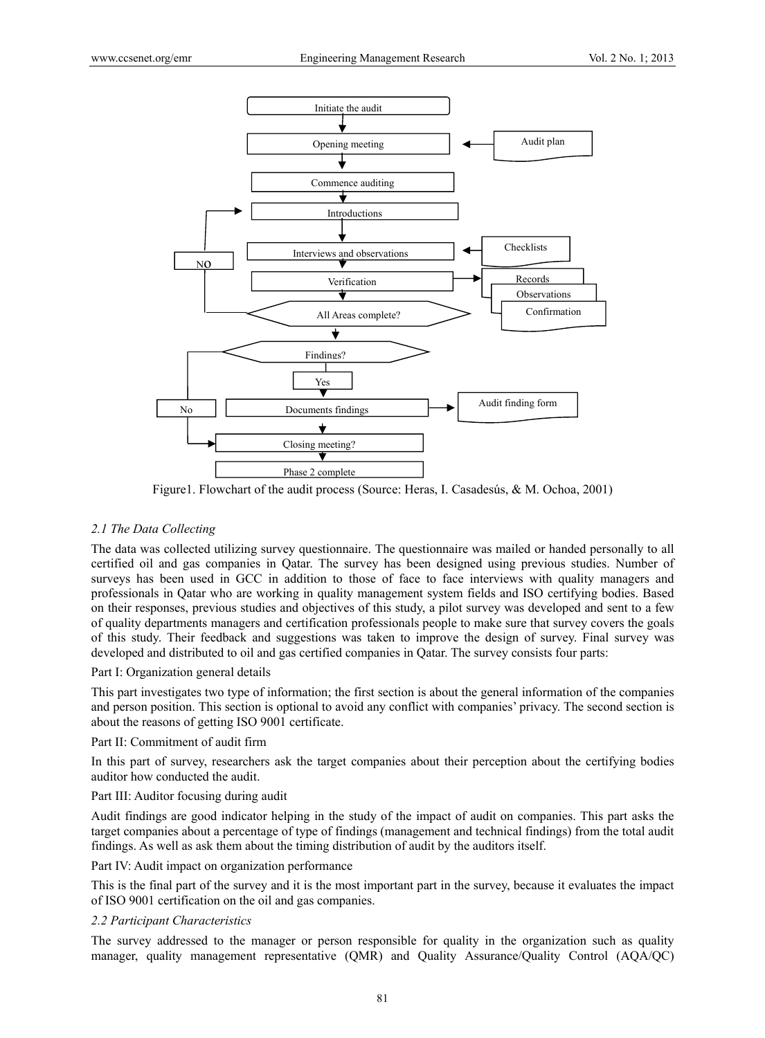

Figure1. Flowchart of the audit process (Source: Heras, I. Casadesús, & M. Ochoa, 2001)

# *2.1 The Data Collecting*

The data was collected utilizing survey questionnaire. The questionnaire was mailed or handed personally to all certified oil and gas companies in Qatar. The survey has been designed using previous studies. Number of surveys has been used in GCC in addition to those of face to face interviews with quality managers and professionals in Qatar who are working in quality management system fields and ISO certifying bodies. Based on their responses, previous studies and objectives of this study, a pilot survey was developed and sent to a few of quality departments managers and certification professionals people to make sure that survey covers the goals of this study. Their feedback and suggestions was taken to improve the design of survey. Final survey was developed and distributed to oil and gas certified companies in Qatar. The survey consists four parts:

# Part I: Organization general details

This part investigates two type of information; the first section is about the general information of the companies and person position. This section is optional to avoid any conflict with companies' privacy. The second section is about the reasons of getting ISO 9001 certificate.

#### Part II: Commitment of audit firm

In this part of survey, researchers ask the target companies about their perception about the certifying bodies auditor how conducted the audit.

#### Part III: Auditor focusing during audit

Audit findings are good indicator helping in the study of the impact of audit on companies. This part asks the target companies about a percentage of type of findings (management and technical findings) from the total audit findings. As well as ask them about the timing distribution of audit by the auditors itself.

# Part IV: Audit impact on organization performance

This is the final part of the survey and it is the most important part in the survey, because it evaluates the impact of ISO 9001 certification on the oil and gas companies.

# *2.2 Participant Characteristics*

The survey addressed to the manager or person responsible for quality in the organization such as quality manager, quality management representative (QMR) and Quality Assurance/Quality Control (AQA/QC)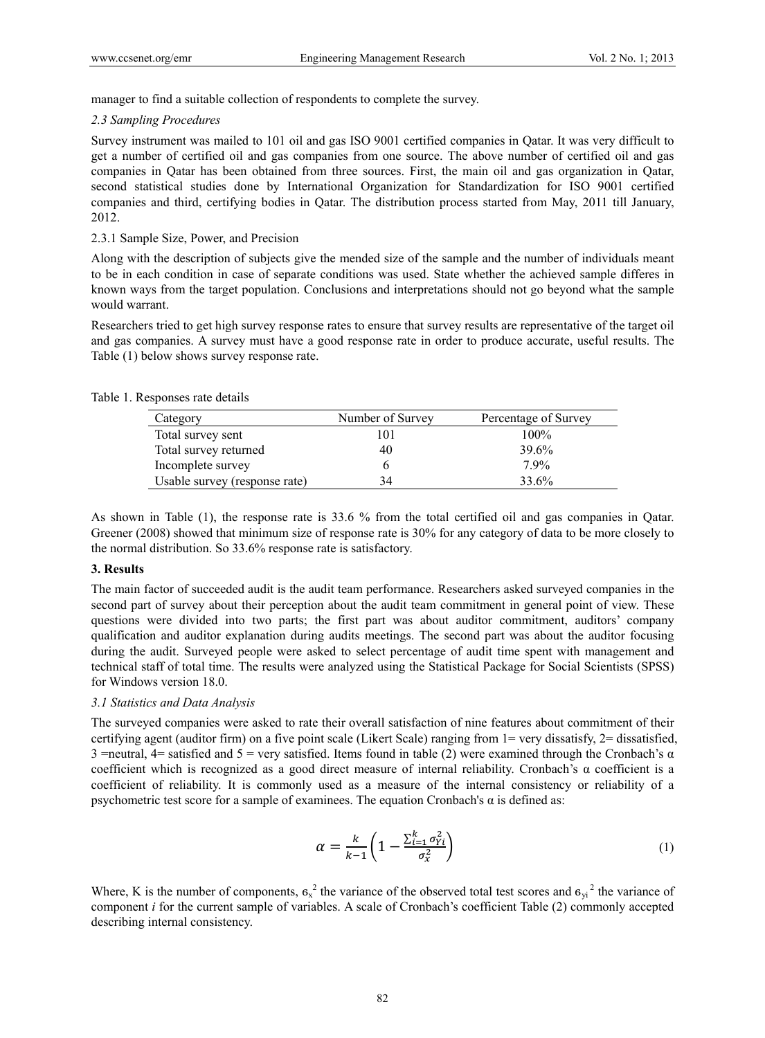manager to find a suitable collection of respondents to complete the survey.

#### *2.3 Sampling Procedures*

Survey instrument was mailed to 101 oil and gas ISO 9001 certified companies in Qatar. It was very difficult to get a number of certified oil and gas companies from one source. The above number of certified oil and gas companies in Qatar has been obtained from three sources. First, the main oil and gas organization in Qatar, second statistical studies done by International Organization for Standardization for ISO 9001 certified companies and third, certifying bodies in Qatar. The distribution process started from May, 2011 till January, 2012.

# 2.3.1 Sample Size, Power, and Precision

Along with the description of subjects give the mended size of the sample and the number of individuals meant to be in each condition in case of separate conditions was used. State whether the achieved sample differes in known ways from the target population. Conclusions and interpretations should not go beyond what the sample would warrant.

Researchers tried to get high survey response rates to ensure that survey results are representative of the target oil and gas companies. A survey must have a good response rate in order to produce accurate, useful results. The Table (1) below shows survey response rate.

#### Table 1. Responses rate details

| Category                      | Number of Survey | Percentage of Survey |
|-------------------------------|------------------|----------------------|
| Total survey sent             | .01              | 100%                 |
| Total survey returned         | 40               | 39.6%                |
| Incomplete survey             |                  | 7.9%                 |
| Usable survey (response rate) | 34               | 33.6%                |

As shown in Table (1), the response rate is 33.6 % from the total certified oil and gas companies in Qatar. Greener (2008) showed that minimum size of response rate is 30% for any category of data to be more closely to the normal distribution. So 33.6% response rate is satisfactory.

# **3. Results**

The main factor of succeeded audit is the audit team performance. Researchers asked surveyed companies in the second part of survey about their perception about the audit team commitment in general point of view. These questions were divided into two parts; the first part was about auditor commitment, auditors' company qualification and auditor explanation during audits meetings. The second part was about the auditor focusing during the audit. Surveyed people were asked to select percentage of audit time spent with management and technical staff of total time. The results were analyzed using the Statistical Package for Social Scientists (SPSS) for Windows version 18.0.

# *3.1 Statistics and Data Analysis*

The surveyed companies were asked to rate their overall satisfaction of nine features about commitment of their certifying agent (auditor firm) on a five point scale (Likert Scale) ranging from 1= very dissatisfy, 2= dissatisfied, 3 =neutral, 4= satisfied and 5 = very satisfied. Items found in table (2) were examined through the Cronbach's  $\alpha$ coefficient which is recognized as a good direct measure of internal reliability. Cronbach's  $\alpha$  coefficient is a coefficient of reliability. It is commonly used as a measure of the internal consistency or reliability of a psychometric test score for a sample of examinees. The equation Cronbach's α is defined as:

$$
\alpha = \frac{k}{k-1} \left( 1 - \frac{\sum_{i=1}^{k} \sigma_{Yi}^2}{\sigma_x^2} \right) \tag{1}
$$

Where, K is the number of components,  $\sigma_x^2$  the variance of the observed total test scores and  $\sigma_{yi}^2$  the variance of component *i* for the current sample of variables. A scale of Cronbach's coefficient Table (2) commonly accepted describing internal consistency.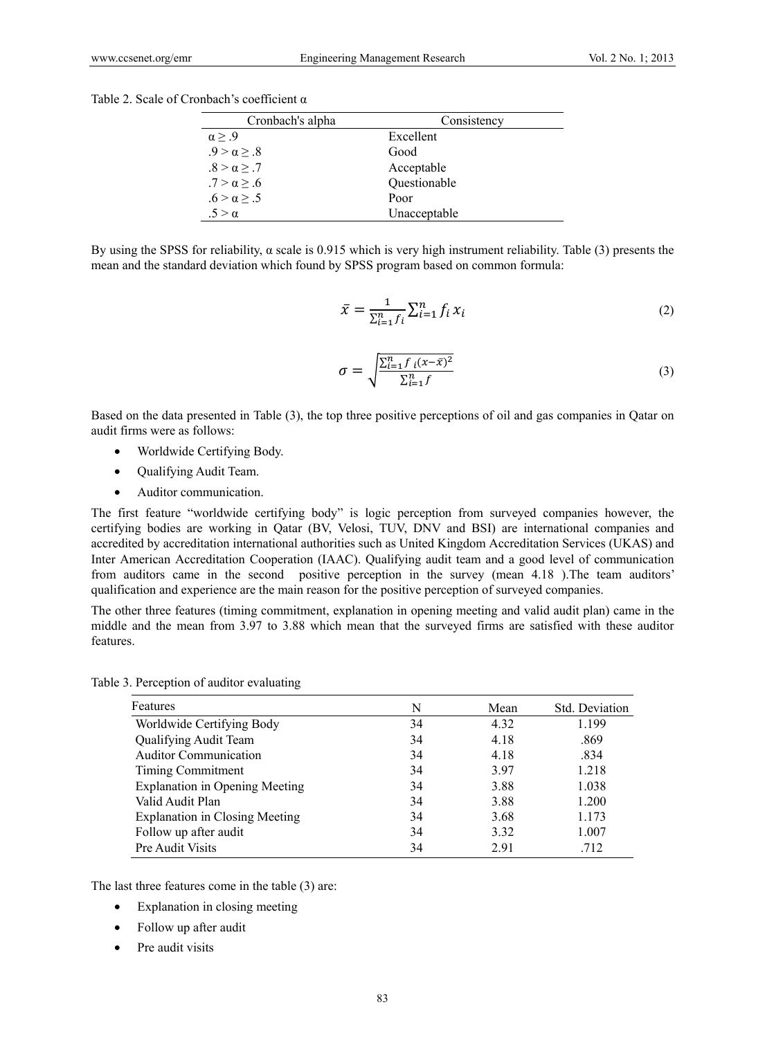Table 2. Scale of Cronbach's coefficient α

| Cronbach's alpha   | Consistency  |  |  |
|--------------------|--------------|--|--|
| $\alpha > .9$      | Excellent    |  |  |
| $.9 > \alpha > .8$ | Good         |  |  |
| $.8 > \alpha > .7$ | Acceptable   |  |  |
| $.7 > \alpha > .6$ | Questionable |  |  |
| $.6 > \alpha > .5$ | Poor         |  |  |
| $5 > \alpha$       | Unacceptable |  |  |

By using the SPSS for reliability,  $α$  scale is 0.915 which is very high instrument reliability. Table (3) presents the mean and the standard deviation which found by SPSS program based on common formula:

$$
\bar{x} = \frac{1}{\sum_{i=1}^{n} f_i} \sum_{i=1}^{n} f_i x_i
$$
\n(2)

$$
\sigma = \sqrt{\frac{\sum_{i=1}^{n} f_i (x - \bar{x})^2}{\sum_{i=1}^{n} f}}
$$
\n(3)

Based on the data presented in Table (3), the top three positive perceptions of oil and gas companies in Qatar on audit firms were as follows:

- Worldwide Certifying Body.
- Oualifying Audit Team.
- Auditor communication.

The first feature "worldwide certifying body" is logic perception from surveyed companies however, the certifying bodies are working in Qatar (BV, Velosi, TUV, DNV and BSI) are international companies and accredited by accreditation international authorities such as United Kingdom Accreditation Services (UKAS) and Inter American Accreditation Cooperation (IAAC). Qualifying audit team and a good level of communication from auditors came in the second positive perception in the survey (mean 4.18 ).The team auditors' qualification and experience are the main reason for the positive perception of surveyed companies.

The other three features (timing commitment, explanation in opening meeting and valid audit plan) came in the middle and the mean from 3.97 to 3.88 which mean that the surveyed firms are satisfied with these auditor features.

Table 3. Perception of auditor evaluating

| Features                              | N  | Mean | Std. Deviation |  |
|---------------------------------------|----|------|----------------|--|
| Worldwide Certifying Body             | 34 | 4.32 | 1.199          |  |
| Qualifying Audit Team                 | 34 | 4.18 | .869           |  |
| <b>Auditor Communication</b>          | 34 | 4.18 | .834           |  |
| Timing Commitment                     | 34 | 3.97 | 1.218          |  |
| <b>Explanation in Opening Meeting</b> | 34 | 3.88 | 1.038          |  |
| Valid Audit Plan                      | 34 | 3.88 | 1.200          |  |
| <b>Explanation in Closing Meeting</b> | 34 | 3.68 | 1.173          |  |
| Follow up after audit                 | 34 | 3.32 | 1.007          |  |
| Pre Audit Visits                      | 34 | 291  | .712           |  |

The last three features come in the table (3) are:

- Explanation in closing meeting
- Follow up after audit
- Pre audit visits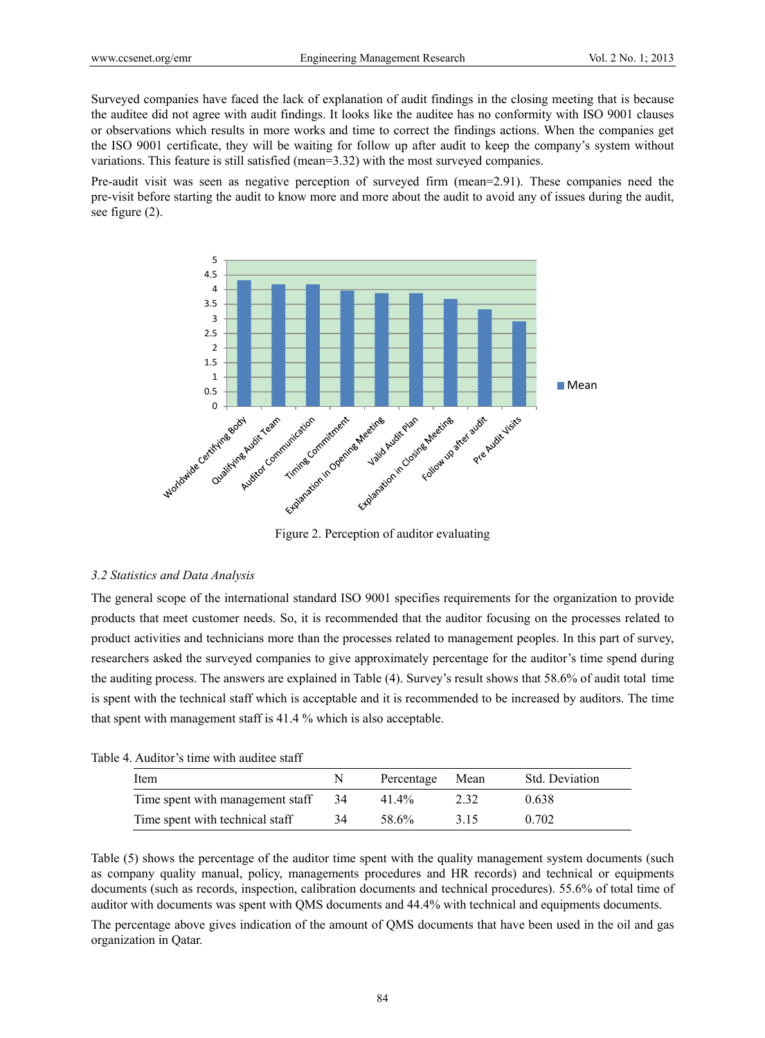Surveyed companies have faced the lack of explanation of audit findings in the closing meeting that is because the auditee did not agree with audit findings. It looks like the auditee has no conformity with ISO 9001 clauses or observations which results in more works and time to correct the findings actions. When the companies get the ISO 9001 certificate, they will be waiting for follow up after audit to keep the company's system without variations. This feature is still satisfied (mean=3.32) with the most surveyed companies.

Pre-audit visit was seen as negative perception of surveyed firm (mean=2.91). These companies need the pre-visit before starting the audit to know more and more about the audit to avoid any of issues during the audit, see figure (2).



Figure 2. Perception of auditor evaluating

#### *3.2 Statistics and Data Analysis*

The general scope of the international standard ISO 9001 specifies requirements for the organization to provide products that meet customer needs. So, it is recommended that the auditor focusing on the processes related to product activities and technicians more than the processes related to management peoples. In this part of survey, researchers asked the surveyed companies to give approximately percentage for the auditor's time spend during the auditing process. The answers are explained in Table (4). Survey's result shows that 58.6% of audit total time is spent with the technical staff which is acceptable and it is recommended to be increased by auditors. The time that spent with management staff is 41.4 % which is also acceptable.

| Table 4. Auditor's time with auditee staff |  |  |
|--------------------------------------------|--|--|
|--------------------------------------------|--|--|

| Item                             | N   | Percentage        | Mean | Std. Deviation |
|----------------------------------|-----|-------------------|------|----------------|
| Time spent with management staff | -34 | 41.4%             | 2.32 | 0.638          |
| Time spent with technical staff  | 34  | 58.6 <sup>%</sup> | 3 15 | 0.702          |

Table (5) shows the percentage of the auditor time spent with the quality management system documents (such as company quality manual, policy, managements procedures and HR records) and technical or equipments documents (such as records, inspection, calibration documents and technical procedures). 55.6% of total time of auditor with documents was spent with QMS documents and 44.4% with technical and equipments documents.

The percentage above gives indication of the amount of QMS documents that have been used in the oil and gas organization in Qatar.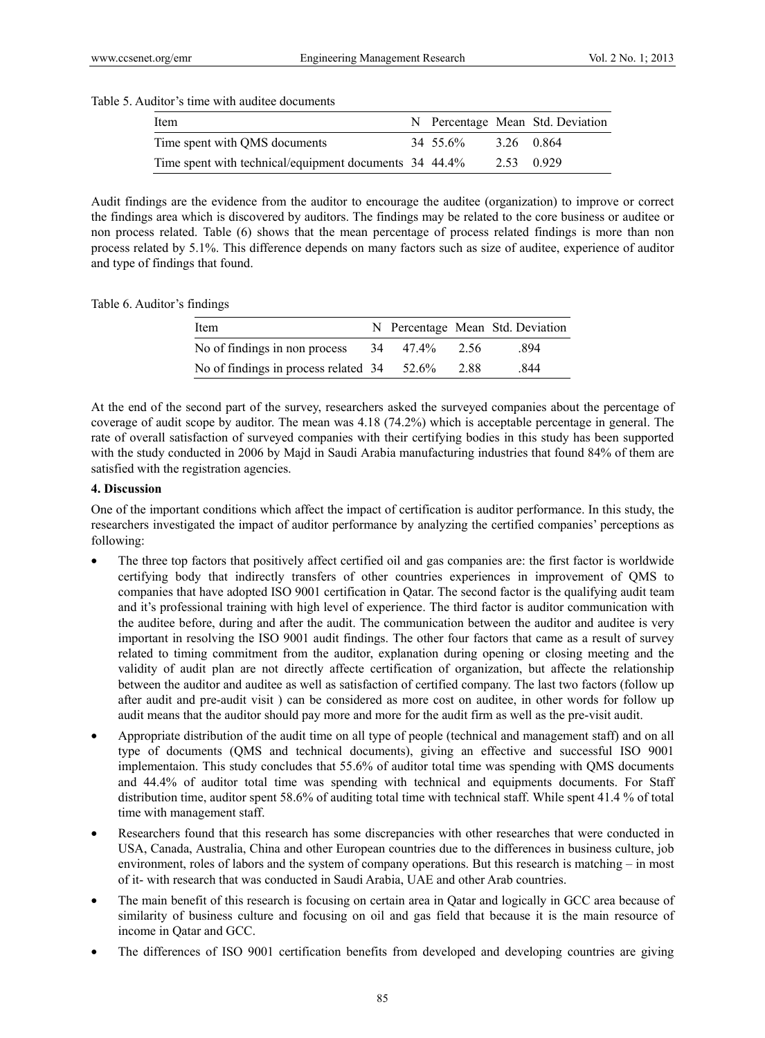#### Table 5. Auditor's time with auditee documents

| Item                                                   |          |            | N Percentage Mean Std. Deviation |
|--------------------------------------------------------|----------|------------|----------------------------------|
| Time spent with QMS documents                          | 34 55.6% | 3.26 0.864 |                                  |
| Time spent with technical/equipment documents 34 44.4% |          | 2.53 0.929 |                                  |

Audit findings are the evidence from the auditor to encourage the auditee (organization) to improve or correct the findings area which is discovered by auditors. The findings may be related to the core business or auditee or non process related. Table (6) shows that the mean percentage of process related findings is more than non process related by 5.1%. This difference depends on many factors such as size of auditee, experience of auditor and type of findings that found.

Table 6. Auditor's findings

| Item                                 |    |       |      | N Percentage Mean Std. Deviation |
|--------------------------------------|----|-------|------|----------------------------------|
| No of findings in non process        | 34 | 47.4% | 2.56 | -894                             |
| No of findings in process related 34 |    | 52.6% | 2.88 | 844                              |

At the end of the second part of the survey, researchers asked the surveyed companies about the percentage of coverage of audit scope by auditor. The mean was 4.18 (74.2%) which is acceptable percentage in general. The rate of overall satisfaction of surveyed companies with their certifying bodies in this study has been supported with the study conducted in 2006 by Majd in Saudi Arabia manufacturing industries that found 84% of them are satisfied with the registration agencies.

#### **4. Discussion**

One of the important conditions which affect the impact of certification is auditor performance. In this study, the researchers investigated the impact of auditor performance by analyzing the certified companies' perceptions as following:

- The three top factors that positively affect certified oil and gas companies are: the first factor is worldwide certifying body that indirectly transfers of other countries experiences in improvement of QMS to companies that have adopted ISO 9001 certification in Qatar. The second factor is the qualifying audit team and it's professional training with high level of experience. The third factor is auditor communication with the auditee before, during and after the audit. The communication between the auditor and auditee is very important in resolving the ISO 9001 audit findings. The other four factors that came as a result of survey related to timing commitment from the auditor, explanation during opening or closing meeting and the validity of audit plan are not directly affecte certification of organization, but affecte the relationship between the auditor and auditee as well as satisfaction of certified company. The last two factors (follow up after audit and pre-audit visit ) can be considered as more cost on auditee, in other words for follow up audit means that the auditor should pay more and more for the audit firm as well as the pre-visit audit.
- Appropriate distribution of the audit time on all type of people (technical and management staff) and on all type of documents (QMS and technical documents), giving an effective and successful ISO 9001 implementaion. This study concludes that 55.6% of auditor total time was spending with QMS documents and 44.4% of auditor total time was spending with technical and equipments documents. For Staff distribution time, auditor spent 58.6% of auditing total time with technical staff. While spent 41.4 % of total time with management staff.
- Researchers found that this research has some discrepancies with other researches that were conducted in USA, Canada, Australia, China and other European countries due to the differences in business culture, job environment, roles of labors and the system of company operations. But this research is matching – in most of it- with research that was conducted in Saudi Arabia, UAE and other Arab countries.
- The main benefit of this research is focusing on certain area in Oatar and logically in GCC area because of similarity of business culture and focusing on oil and gas field that because it is the main resource of income in Qatar and GCC.
- The differences of ISO 9001 certification benefits from developed and developing countries are giving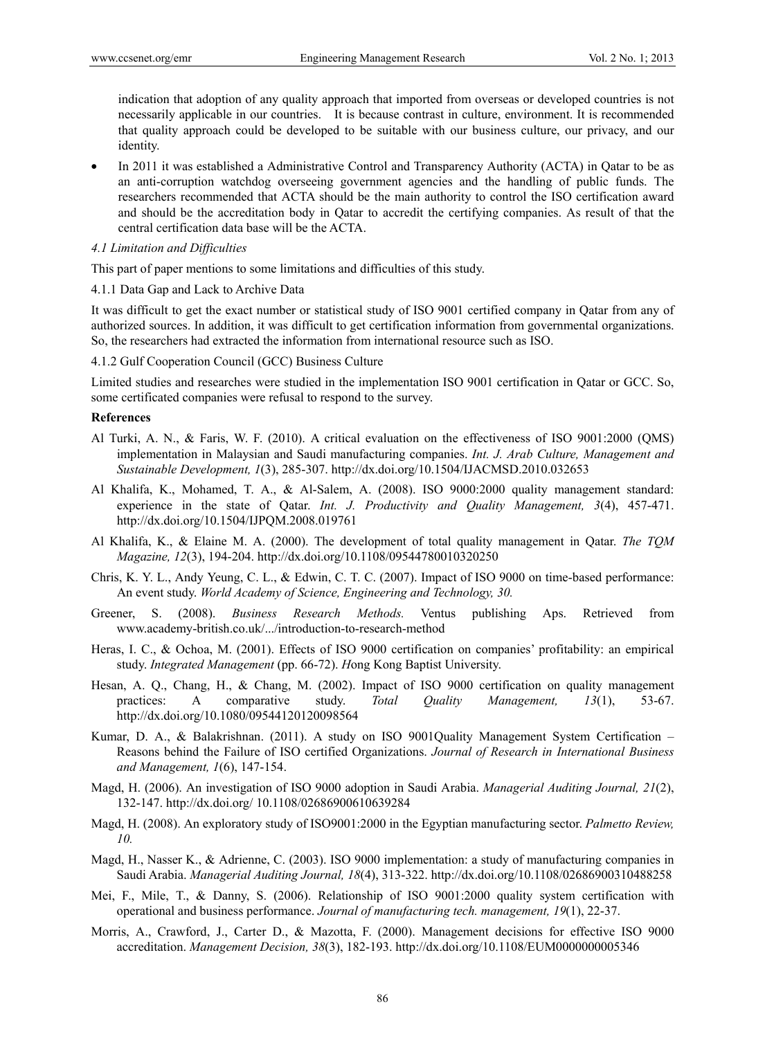indication that adoption of any quality approach that imported from overseas or developed countries is not necessarily applicable in our countries. It is because contrast in culture, environment. It is recommended that quality approach could be developed to be suitable with our business culture, our privacy, and our identity.

 In 2011 it was established a Administrative Control and Transparency Authority (ACTA) in Qatar to be as an anti-corruption watchdog overseeing government agencies and the handling of public funds. The researchers recommended that ACTA should be the main authority to control the ISO certification award and should be the accreditation body in Qatar to accredit the certifying companies. As result of that the central certification data base will be the ACTA.

#### *4.1 Limitation and Difficulties*

This part of paper mentions to some limitations and difficulties of this study.

4.1.1 Data Gap and Lack to Archive Data

It was difficult to get the exact number or statistical study of ISO 9001 certified company in Qatar from any of authorized sources. In addition, it was difficult to get certification information from governmental organizations. So, the researchers had extracted the information from international resource such as ISO.

#### 4.1.2 Gulf Cooperation Council (GCC) Business Culture

Limited studies and researches were studied in the implementation ISO 9001 certification in Qatar or GCC. So, some certificated companies were refusal to respond to the survey.

#### **References**

- Al Turki, A. N., & Faris, W. F. (2010). A critical evaluation on the effectiveness of ISO 9001:2000 (QMS) implementation in Malaysian and Saudi manufacturing companies. *Int. J. Arab Culture, Management and Sustainable Development, 1*(3), 285-307. http://dx.doi.org/10.1504/IJACMSD.2010.032653
- Al Khalifa, K., Mohamed, T. A., & Al-Salem, A. (2008). ISO 9000:2000 quality management standard: experience in the state of Qatar. *Int. J. Productivity and Quality Management, 3*(4), 457-471. http://dx.doi.org/10.1504/IJPQM.2008.019761
- Al Khalifa, K., & Elaine M. A. (2000). The development of total quality management in Qatar. *The TQM Magazine, 12*(3), 194-204. http://dx.doi.org/10.1108/09544780010320250
- Chris, K. Y. L., Andy Yeung, C. L., & Edwin, C. T. C. (2007). Impact of ISO 9000 on time-based performance: An event study. *World Academy of Science, Engineering and Technology, 30.*
- Greener, S. (2008). *Business Research Methods.* Ventus publishing Aps. Retrieved from www.academy-british.co.uk/.../introduction-to-research-method
- Heras, I. C., & Ochoa, M. (2001). Effects of ISO 9000 certification on companies' profitability: an empirical study. *Integrated Management* (pp. 66-72). *H*ong Kong Baptist University.
- Hesan, A. Q., Chang, H., & Chang, M. (2002). Impact of ISO 9000 certification on quality management practices: A comparative study. *Total Quality Management, 13*(1), 53-67. http://dx.doi.org/10.1080/09544120120098564
- Kumar, D. A., & Balakrishnan. (2011). A study on ISO 9001Quality Management System Certification Reasons behind the Failure of ISO certified Organizations. *Journal of Research in International Business and Management, 1*(6), 147-154.
- Magd, H. (2006). An investigation of ISO 9000 adoption in Saudi Arabia. *Managerial Auditing Journal, 21*(2), 132-147. http://dx.doi.org/ 10.1108/02686900610639284
- Magd, H. (2008). An exploratory study of ISO9001:2000 in the Egyptian manufacturing sector. *Palmetto Review, 10.*
- Magd, H., Nasser K., & Adrienne, C. (2003). ISO 9000 implementation: a study of manufacturing companies in Saudi Arabia. *Managerial Auditing Journal, 18*(4), 313-322. http://dx.doi.org/10.1108/02686900310488258
- Mei, F., Mile, T., & Danny, S. (2006). Relationship of ISO 9001:2000 quality system certification with operational and business performance. *Journal of manufacturing tech. management, 19*(1), 22-37.
- Morris, A., Crawford, J., Carter D., & Mazotta, F. (2000). Management decisions for effective ISO 9000 accreditation. *Management Decision, 38*(3), 182-193. http://dx.doi.org/10.1108/EUM0000000005346